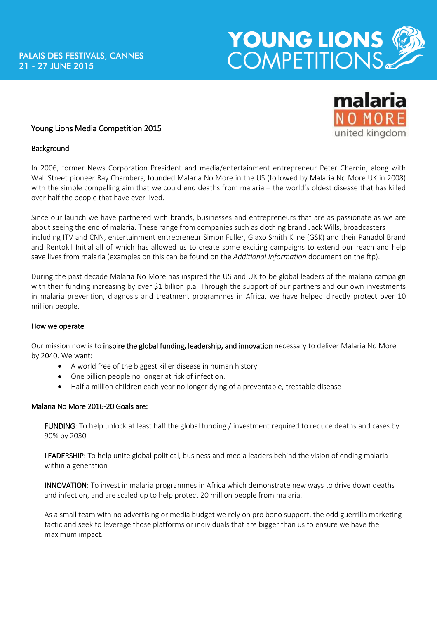# YOUNG LIONS

# Young Lions Media Competition 2015

### **Background**

In 2006, former News Corporation President and media/entertainment entrepreneur Peter Chernin, along with Wall Street pioneer Ray Chambers, founded Malaria No More in the US (followed by Malaria No More UK in 2008) with the simple compelling aim that we could end deaths from malaria – the world's oldest disease that has killed over half the people that have ever lived.

Since our launch we have partnered with brands, businesses and entrepreneurs that are as passionate as we are about seeing the end of malaria. These range from companies such as clothing brand Jack Wills, broadcasters including ITV and CNN, entertainment entrepreneur Simon Fuller, Glaxo Smith Kline (GSK) and their Panadol Brand and Rentokil Initial all of which has allowed us to create some exciting campaigns to extend our reach and help save lives from malaria (examples on this can be found on the *Additional Information* document on the ftp).

During the past decade Malaria No More has inspired the US and UK to be global leaders of the malaria campaign with their funding increasing by over \$1 billion p.a. Through the support of our partners and our own investments in malaria prevention, diagnosis and treatment programmes in Africa, we have helped directly protect over 10 million people.

### How we operate

Our mission now is to inspire the global funding, leadership, and innovation necessary to deliver Malaria No More by 2040. We want:

- A world free of the biggest killer disease in human history.
- One billion people no longer at risk of infection.
- Half a million children each year no longer dying of a preventable, treatable disease

### Malaria No More 2016-20 Goals are:

FUNDING: To help unlock at least half the global funding / investment required to reduce deaths and cases by 90% by 2030

LEADERSHIP: To help unite global political, business and media leaders behind the vision of ending malaria within a generation

INNOVATION: To invest in malaria programmes in Africa which demonstrate new ways to drive down deaths and infection, and are scaled up to help protect 20 million people from malaria.

As a small team with no advertising or media budget we rely on pro bono support, the odd guerrilla marketing tactic and seek to leverage those platforms or individuals that are bigger than us to ensure we have the maximum impact.

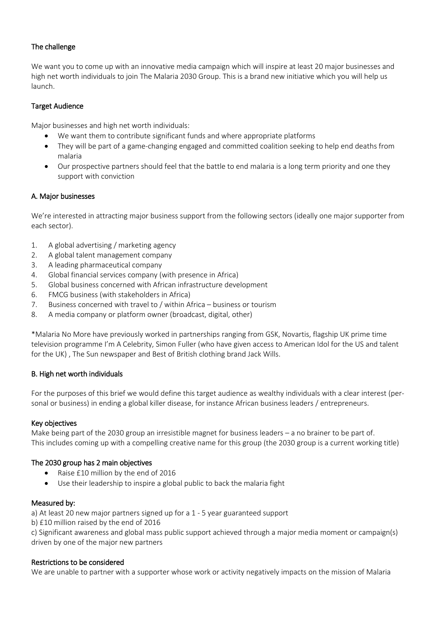# The challenge

We want you to come up with an innovative media campaign which will inspire at least 20 major businesses and high net worth individuals to join The Malaria 2030 Group. This is a brand new initiative which you will help us launch.

### Target Audience

Major businesses and high net worth individuals:

- We want them to contribute significant funds and where appropriate platforms
- They will be part of a game-changing engaged and committed coalition seeking to help end deaths from malaria
- Our prospective partners should feel that the battle to end malaria is a long term priority and one they support with conviction

### A. Major businesses

We're interested in attracting major business support from the following sectors (ideally one major supporter from each sector).

- 1. A global advertising / marketing agency
- 2. A global talent management company
- 3. A leading pharmaceutical company
- 4. Global financial services company (with presence in Africa)
- 5. Global business concerned with African infrastructure development
- 6. FMCG business (with stakeholders in Africa)
- 7. Business concerned with travel to / within Africa business or tourism
- 8. A media company or platform owner (broadcast, digital, other)

\*Malaria No More have previously worked in partnerships ranging from GSK, Novartis, flagship UK prime time television programme I'm A Celebrity, Simon Fuller (who have given access to American Idol for the US and talent for the UK) , The Sun newspaper and Best of British clothing brand Jack Wills.

# B. High net worth individuals

For the purposes of this brief we would define this target audience as wealthy individuals with a clear interest (personal or business) in ending a global killer disease, for instance African business leaders / entrepreneurs.

### Key objectives

Make being part of the 2030 group an irresistible magnet for business leaders – a no brainer to be part of. This includes coming up with a compelling creative name for this group (the 2030 group is a current working title)

# The 2030 group has 2 main objectives

- Raise £10 million by the end of 2016
- Use their leadership to inspire a global public to back the malaria fight

### Measured by:

a) At least 20 new major partners signed up for a 1 - 5 year guaranteed support

b) £10 million raised by the end of 2016

c) Significant awareness and global mass public support achieved through a major media moment or campaign(s) driven by one of the major new partners

### Restrictions to be considered

We are unable to partner with a supporter whose work or activity negatively impacts on the mission of Malaria